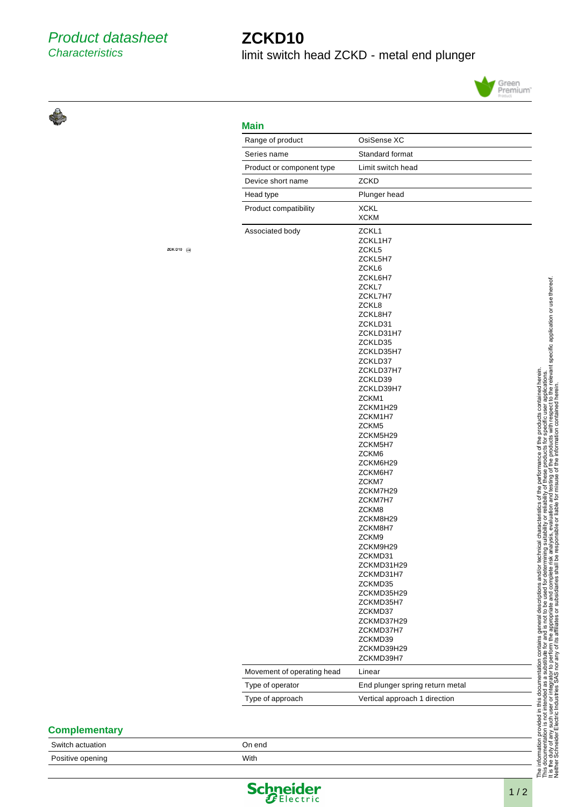## **ZCKD10**

limit switch head ZCKD - metal end plunger



## **Main**

| Range of product           | OsiSense XC                                                                                                                                                                                                                                                                                                                                                                                                                                                                                            |
|----------------------------|--------------------------------------------------------------------------------------------------------------------------------------------------------------------------------------------------------------------------------------------------------------------------------------------------------------------------------------------------------------------------------------------------------------------------------------------------------------------------------------------------------|
| Series name                | Standard format                                                                                                                                                                                                                                                                                                                                                                                                                                                                                        |
| Product or component type  | Limit switch head                                                                                                                                                                                                                                                                                                                                                                                                                                                                                      |
| Device short name          | ZCKD                                                                                                                                                                                                                                                                                                                                                                                                                                                                                                   |
| Head type                  | Plunger head                                                                                                                                                                                                                                                                                                                                                                                                                                                                                           |
| Product compatibility      | <b>XCKL</b><br><b>XCKM</b>                                                                                                                                                                                                                                                                                                                                                                                                                                                                             |
| Associated body            | ZCKL1<br>ZCKL1H7<br>ZCKL5<br>ZCKL5H7<br>ZCKL6<br>ZCKL6H7<br>ZCKL7<br>ZCKL7H7<br>ZCKL8<br>ZCKL8H7<br>ZCKLD31<br>ZCKLD31H7<br>ZCKLD35<br>ZCKLD35H7<br>ZCKLD37<br>ZCKLD37H7<br>ZCKLD39<br>ZCKLD39H7<br>ZCKM1<br>ZCKM1H29<br>ZCKM1H7<br>ZCKM <sub>5</sub><br>ZCKM5H29<br>ZCKM5H7<br>ZCKM6<br>ZCKM6H29<br>ZCKM6H7<br>ZCKM7<br>ZCKM7H29<br>ZCKM7H7<br>ZCKM8<br>ZCKM8H29<br>ZCKM8H7<br>ZCKM9<br>ZCKM9H29<br>ZCKMD31<br>ZCKMD31H29<br>ZCKMD31H7<br>ZCKMD35<br>ZCKMD35H29<br>ZCKMD35H7<br>ZCKMD37<br>ZCKMD37H29 |
|                            | ZCKMD37H7                                                                                                                                                                                                                                                                                                                                                                                                                                                                                              |
|                            | ZCKMD39<br>ZCKMD39H29<br>ZCKMD39H7                                                                                                                                                                                                                                                                                                                                                                                                                                                                     |
| Movement of operating head | Linear                                                                                                                                                                                                                                                                                                                                                                                                                                                                                                 |
| Type of operator           | End plunger spring return metal                                                                                                                                                                                                                                                                                                                                                                                                                                                                        |
| Type of approach           | Vertical approach 1 direction                                                                                                                                                                                                                                                                                                                                                                                                                                                                          |

## ZCK D<sub>10</sub>  $\ominus$

|  |  |  | <b>Complementary</b> |
|--|--|--|----------------------|
|--|--|--|----------------------|

Switch actuation **On end** On end Positive opening The Contract of the With With